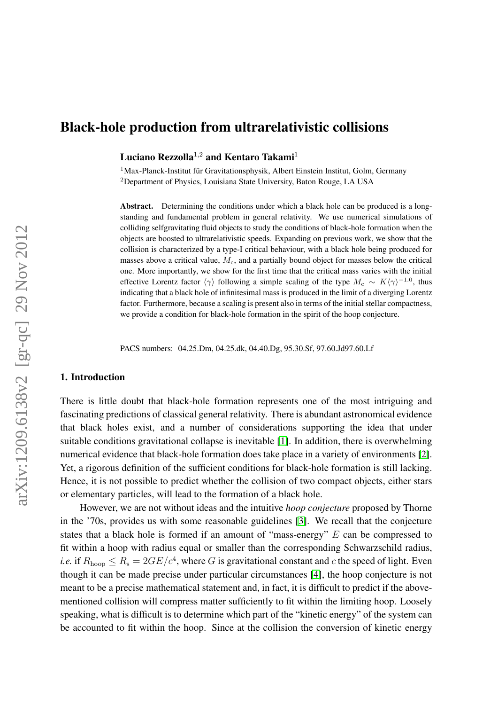# Black-hole production from ultrarelativistic collisions

Luciano Rezzolla<sup>1,2</sup> and Kentaro Takami<sup>1</sup>

 $1$ Max-Planck-Institut für Gravitationsphysik, Albert Einstein Institut, Golm, Germany <sup>2</sup>Department of Physics, Louisiana State University, Baton Rouge, LA USA

Abstract. Determining the conditions under which a black hole can be produced is a longstanding and fundamental problem in general relativity. We use numerical simulations of colliding selfgravitating fluid objects to study the conditions of black-hole formation when the objects are boosted to ultrarelativistic speeds. Expanding on previous work, we show that the collision is characterized by a type-I critical behaviour, with a black hole being produced for masses above a critical value,  $M_c$ , and a partially bound object for masses below the critical one. More importantly, we show for the first time that the critical mass varies with the initial effective Lorentz factor  $\langle \gamma \rangle$  following a simple scaling of the type  $M_c \sim K \langle \gamma \rangle^{-1.0}$ , thus indicating that a black hole of infinitesimal mass is produced in the limit of a diverging Lorentz factor. Furthermore, because a scaling is present also in terms of the initial stellar compactness, we provide a condition for black-hole formation in the spirit of the hoop conjecture.

PACS numbers: 04.25.Dm, 04.25.dk, 04.40.Dg, 95.30.Sf, 97.60.Jd97.60.Lf

# 1. Introduction

There is little doubt that black-hole formation represents one of the most intriguing and fascinating predictions of classical general relativity. There is abundant astronomical evidence that black holes exist, and a number of considerations supporting the idea that under suitable conditions gravitational collapse is inevitable [\[1\]](#page-9-0). In addition, there is overwhelming numerical evidence that black-hole formation does take place in a variety of environments [\[2\]](#page-9-1). Yet, a rigorous definition of the sufficient conditions for black-hole formation is still lacking. Hence, it is not possible to predict whether the collision of two compact objects, either stars or elementary particles, will lead to the formation of a black hole.

However, we are not without ideas and the intuitive *hoop conjecture* proposed by Thorne in the '70s, provides us with some reasonable guidelines [\[3\]](#page-9-2). We recall that the conjecture states that a black hole is formed if an amount of "mass-energy" E can be compressed to fit within a hoop with radius equal or smaller than the corresponding Schwarzschild radius, *i.e.* if  $R_{\text{hoop}} \leq R_s = 2GE/c^4$ , where G is gravitational constant and c the speed of light. Even though it can be made precise under particular circumstances [\[4\]](#page-9-3), the hoop conjecture is not meant to be a precise mathematical statement and, in fact, it is difficult to predict if the abovementioned collision will compress matter sufficiently to fit within the limiting hoop. Loosely speaking, what is difficult is to determine which part of the "kinetic energy" of the system can be accounted to fit within the hoop. Since at the collision the conversion of kinetic energy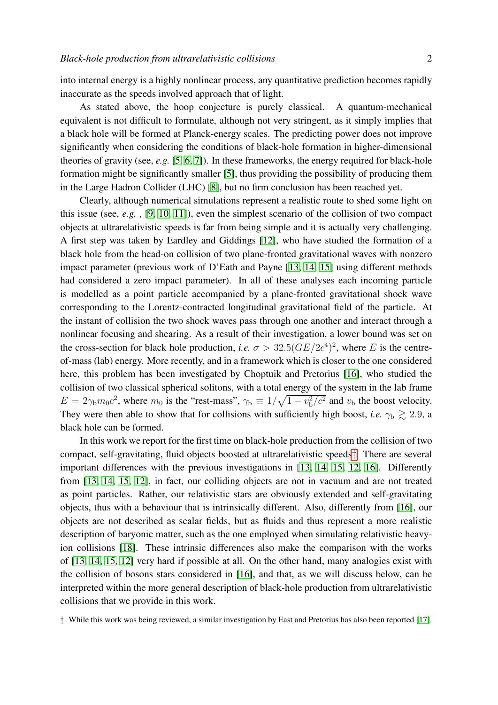into internal energy is a highly nonlinear process, any quantitative prediction becomes rapidly inaccurate as the speeds involved approach that of light.

As stated above, the hoop conjecture is purely classical. A quantum-mechanical equivalent is not difficult to formulate, although not very stringent, as it simply implies that a black hole will be formed at Planck-energy scales. The predicting power does not improve significantly when considering the conditions of black-hole formation in higher-dimensional theories of gravity (see, *e.g.* [\[5,](#page-9-4) [6,](#page-9-5) [7\]](#page-9-6)). In these frameworks, the energy required for black-hole formation might be significantly smaller [\[5\]](#page-9-4), thus providing the possibility of producing them in the Large Hadron Collider (LHC) [\[8\]](#page-9-7), but no firm conclusion has been reached yet.

Clearly, although numerical simulations represent a realistic route to shed some light on this issue (see, *e.g.* , [\[9,](#page-9-8) [10,](#page-9-9) [11\]](#page-9-10)), even the simplest scenario of the collision of two compact objects at ultrarelativistic speeds is far from being simple and it is actually very challenging. A first step was taken by Eardley and Giddings [\[12\]](#page-9-11), who have studied the formation of a black hole from the head-on collision of two plane-fronted gravitational waves with nonzero impact parameter (previous work of D'Eath and Payne [\[13,](#page-9-12) [14,](#page-9-13) [15\]](#page-9-14) using different methods had considered a zero impact parameter). In all of these analyses each incoming particle is modelled as a point particle accompanied by a plane-fronted gravitational shock wave corresponding to the Lorentz-contracted longitudinal gravitational field of the particle. At the instant of collision the two shock waves pass through one another and interact through a nonlinear focusing and shearing. As a result of their investigation, a lower bound was set on the cross-section for black hole production, *i.e.*  $\sigma > 32.5 (GE/2c^4)^2$ , where *E* is the centreof-mass (lab) energy. More recently, and in a framework which is closer to the one considered here, this problem has been investigated by Choptuik and Pretorius [\[16\]](#page-9-15), who studied the collision of two classical spherical solitons, with a total energy of the system in the lab frame  $E = 2\gamma_b m_0 c^2$ , where  $m_0$  is the "rest-mass",  $\gamma_b \equiv 1/\sqrt{1 - v_b^2/c^2}$  and  $v_b$  the boost velocity. They were then able to show that for collisions with sufficiently high boost, *i.e.*  $\gamma_{\rm b} \gtrsim 2.9$ , a black hole can be formed.

In this work we report for the first time on black-hole production from the collision of two compact, self-gravitating, fluid objects boosted at ultrarelativistic speeds[‡](#page-1-0). There are several important differences with the previous investigations in [\[13,](#page-9-12) [14,](#page-9-13) [15,](#page-9-14) [12,](#page-9-11) [16\]](#page-9-15). Differently from [\[13,](#page-9-12) [14,](#page-9-13) [15,](#page-9-14) [12\]](#page-9-11), in fact, our colliding objects are not in vacuum and are not treated as point particles. Rather, our relativistic stars are obviously extended and self-gravitating objects, thus with a behaviour that is intrinsically different. Also, differently from [\[16\]](#page-9-15), our objects are not described as scalar fields, but as fluids and thus represent a more realistic description of baryonic matter, such as the one employed when simulating relativistic heavyion collisions [\[18\]](#page-9-16). These intrinsic differences also make the comparison with the works of [\[13,](#page-9-12) [14,](#page-9-13) [15,](#page-9-14) [12\]](#page-9-11) very hard if possible at all. On the other hand, many analogies exist with the collision of bosons stars considered in [\[16\]](#page-9-15), and that, as we will discuss below, can be interpreted within the more general description of black-hole production from ultrarelativistic collisions that we provide in this work.

<span id="page-1-0"></span><sup>‡</sup> While this work was being reviewed, a similar investigation by East and Pretorius has also been reported [\[17\]](#page-9-17).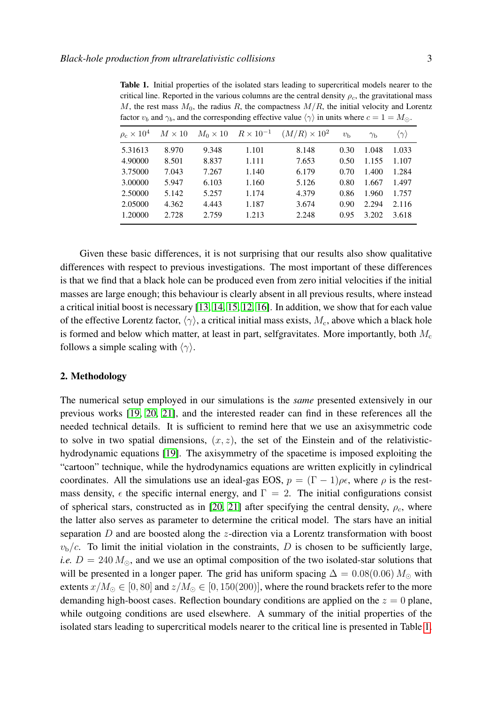<span id="page-2-0"></span>Table 1. Initial properties of the isolated stars leading to supercritical models nearer to the critical line. Reported in the various columns are the central density  $\rho_c$ , the gravitational mass M, the rest mass  $M_0$ , the radius R, the compactness  $M/R$ , the initial velocity and Lorentz factor  $v_b$  and  $\gamma_b$ , and the corresponding effective value  $\langle \gamma \rangle$  in units where  $c = 1 = M_{\odot}$ .

| $\rho_c \times 10^4$ | $M \times 10$ | $M_0 \times 10$ | $R \times 10^{-1}$ | $(M/R) \times 10^2$ | $v_{\rm b}$ | $\gamma_{\rm b}$ | $\langle \gamma \rangle$ |
|----------------------|---------------|-----------------|--------------------|---------------------|-------------|------------------|--------------------------|
| 5.31613              | 8.970         | 9.348           | 1.101              | 8.148               | 0.30        | 1.048            | 1.033                    |
| 4.90000              | 8.501         | 8.837           | 1.111              | 7.653               | 0.50        | 1.155            | 1.107                    |
| 3.75000              | 7.043         | 7.267           | 1.140              | 6.179               | 0.70        | 1.400            | 1.284                    |
| 3.00000              | 5.947         | 6.103           | 1.160              | 5.126               | 0.80        | 1.667            | 1.497                    |
| 2.50000              | 5.142         | 5.257           | 1.174              | 4.379               | 0.86        | 1.960            | 1.757                    |
| 2.05000              | 4.362         | 4.443           | 1.187              | 3.674               | 0.90        | 2.294            | 2.116                    |
| 1.20000              | 2.728         | 2.759           | 1.213              | 2.248               | 0.95        | 3.202            | 3.618                    |

Given these basic differences, it is not surprising that our results also show qualitative differences with respect to previous investigations. The most important of these differences is that we find that a black hole can be produced even from zero initial velocities if the initial masses are large enough; this behaviour is clearly absent in all previous results, where instead a critical initial boost is necessary [\[13,](#page-9-12) [14,](#page-9-13) [15,](#page-9-14) [12,](#page-9-11) [16\]](#page-9-15). In addition, we show that for each value of the effective Lorentz factor,  $\langle \gamma \rangle$ , a critical initial mass exists,  $M_c$ , above which a black hole is formed and below which matter, at least in part, selfgravitates. More importantly, both  $M<sub>c</sub>$ follows a simple scaling with  $\langle \gamma \rangle$ .

#### 2. Methodology

The numerical setup employed in our simulations is the *same* presented extensively in our previous works [\[19,](#page-9-18) [20,](#page-9-19) [21\]](#page-9-20), and the interested reader can find in these references all the needed technical details. It is sufficient to remind here that we use an axisymmetric code to solve in two spatial dimensions,  $(x, z)$ , the set of the Einstein and of the relativistichydrodynamic equations [\[19\]](#page-9-18). The axisymmetry of the spacetime is imposed exploiting the "cartoon" technique, while the hydrodynamics equations are written explicitly in cylindrical coordinates. All the simulations use an ideal-gas EOS,  $p = (\Gamma - 1)\rho\epsilon$ , where  $\rho$  is the restmass density,  $\epsilon$  the specific internal energy, and  $\Gamma = 2$ . The initial configurations consist of spherical stars, constructed as in [\[20,](#page-9-19) [21\]](#page-9-20) after specifying the central density,  $\rho_c$ , where the latter also serves as parameter to determine the critical model. The stars have an initial separation  $D$  and are boosted along the z-direction via a Lorentz transformation with boost  $v<sub>b</sub>/c$ . To limit the initial violation in the constraints, D is chosen to be sufficiently large, *i.e.*  $D = 240 M_{\odot}$ , and we use an optimal composition of the two isolated-star solutions that will be presented in a longer paper. The grid has uniform spacing  $\Delta = 0.08(0.06) M_{\odot}$  with extents  $x/M_{\odot} \in [0, 80]$  and  $z/M_{\odot} \in [0, 150(200)]$ , where the round brackets refer to the more demanding high-boost cases. Reflection boundary conditions are applied on the  $z = 0$  plane, while outgoing conditions are used elsewhere. A summary of the initial properties of the isolated stars leading to supercritical models nearer to the critical line is presented in Table [1.](#page-2-0)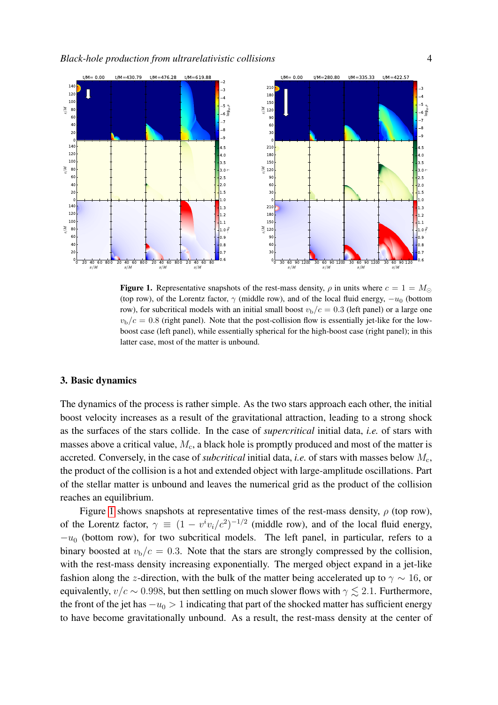

<span id="page-3-0"></span>Figure 1. Representative snapshots of the rest-mass density,  $\rho$  in units where  $c = 1 = M_{\odot}$ (top row), of the Lorentz factor,  $\gamma$  (middle row), and of the local fluid energy,  $-u_0$  (bottom row), for subcritical models with an initial small boost  $v<sub>b</sub>/c = 0.3$  (left panel) or a large one  $v<sub>b</sub>/c = 0.8$  (right panel). Note that the post-collision flow is essentially jet-like for the lowboost case (left panel), while essentially spherical for the high-boost case (right panel); in this latter case, most of the matter is unbound.

### 3. Basic dynamics

The dynamics of the process is rather simple. As the two stars approach each other, the initial boost velocity increases as a result of the gravitational attraction, leading to a strong shock as the surfaces of the stars collide. In the case of *supercritical* initial data, *i.e.* of stars with masses above a critical value,  $M_c$ , a black hole is promptly produced and most of the matter is accreted. Conversely, in the case of *subcritical* initial data, *i.e.* of stars with masses below  $M_c$ , the product of the collision is a hot and extended object with large-amplitude oscillations. Part of the stellar matter is unbound and leaves the numerical grid as the product of the collision reaches an equilibrium.

Figure [1](#page-3-0) shows snapshots at representative times of the rest-mass density,  $\rho$  (top row), of the Lorentz factor,  $\gamma \equiv (1 - v^i v_i/c^2)^{-1/2}$  (middle row), and of the local fluid energy,  $-u_0$  (bottom row), for two subcritical models. The left panel, in particular, refers to a binary boosted at  $v<sub>b</sub>/c = 0.3$ . Note that the stars are strongly compressed by the collision, with the rest-mass density increasing exponentially. The merged object expand in a jet-like fashion along the z-direction, with the bulk of the matter being accelerated up to  $\gamma \sim 16$ , or equivalently,  $v/c \sim 0.998$ , but then settling on much slower flows with  $\gamma \lesssim 2.1$ . Furthermore, the front of the jet has  $-u_0 > 1$  indicating that part of the shocked matter has sufficient energy to have become gravitationally unbound. As a result, the rest-mass density at the center of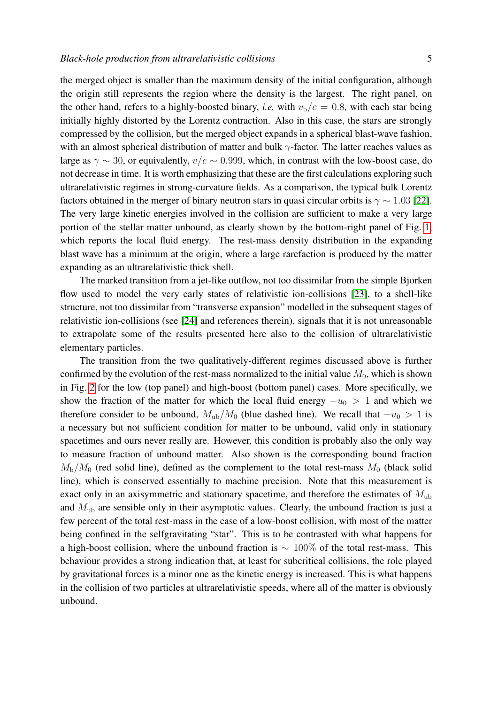the merged object is smaller than the maximum density of the initial configuration, although the origin still represents the region where the density is the largest. The right panel, on the other hand, refers to a highly-boosted binary, *i.e.* with  $v<sub>b</sub>/c = 0.8$ , with each star being initially highly distorted by the Lorentz contraction. Also in this case, the stars are strongly compressed by the collision, but the merged object expands in a spherical blast-wave fashion, with an almost spherical distribution of matter and bulk  $\gamma$ -factor. The latter reaches values as large as  $\gamma \sim 30$ , or equivalently,  $v/c \sim 0.999$ , which, in contrast with the low-boost case, do not decrease in time. It is worth emphasizing that these are the first calculations exploring such ultrarelativistic regimes in strong-curvature fields. As a comparison, the typical bulk Lorentz factors obtained in the merger of binary neutron stars in quasi circular orbits is  $\gamma \sim 1.03$  [\[22\]](#page-9-21). The very large kinetic energies involved in the collision are sufficient to make a very large portion of the stellar matter unbound, as clearly shown by the bottom-right panel of Fig. [1,](#page-3-0) which reports the local fluid energy. The rest-mass density distribution in the expanding blast wave has a minimum at the origin, where a large rarefaction is produced by the matter expanding as an ultrarelativistic thick shell.

The marked transition from a jet-like outflow, not too dissimilar from the simple Bjorken flow used to model the very early states of relativistic ion-collisions [\[23\]](#page-9-22), to a shell-like structure, not too dissimilar from "transverse expansion" modelled in the subsequent stages of relativistic ion-collisions (see [\[24\]](#page-9-23) and references therein), signals that it is not unreasonable to extrapolate some of the results presented here also to the collision of ultrarelativistic elementary particles.

The transition from the two qualitatively-different regimes discussed above is further confirmed by the evolution of the rest-mass normalized to the initial value  $M_0$ , which is shown in Fig. [2](#page-5-0) for the low (top panel) and high-boost (bottom panel) cases. More specifically, we show the fraction of the matter for which the local fluid energy  $-u_0 > 1$  and which we therefore consider to be unbound,  $M_{ub}/M_0$  (blue dashed line). We recall that  $-u_0 > 1$  is a necessary but not sufficient condition for matter to be unbound, valid only in stationary spacetimes and ours never really are. However, this condition is probably also the only way to measure fraction of unbound matter. Also shown is the corresponding bound fraction  $M_{\rm b}/M_0$  (red solid line), defined as the complement to the total rest-mass  $M_0$  (black solid line), which is conserved essentially to machine precision. Note that this measurement is exact only in an axisymmetric and stationary spacetime, and therefore the estimates of  $M_{ub}$ and  $M_{\text{ub}}$  are sensible only in their asymptotic values. Clearly, the unbound fraction is just a few percent of the total rest-mass in the case of a low-boost collision, with most of the matter being confined in the selfgravitating "star". This is to be contrasted with what happens for a high-boost collision, where the unbound fraction is  $\sim 100\%$  of the total rest-mass. This behaviour provides a strong indication that, at least for subcritical collisions, the role played by gravitational forces is a minor one as the kinetic energy is increased. This is what happens in the collision of two particles at ultrarelativistic speeds, where all of the matter is obviously unbound.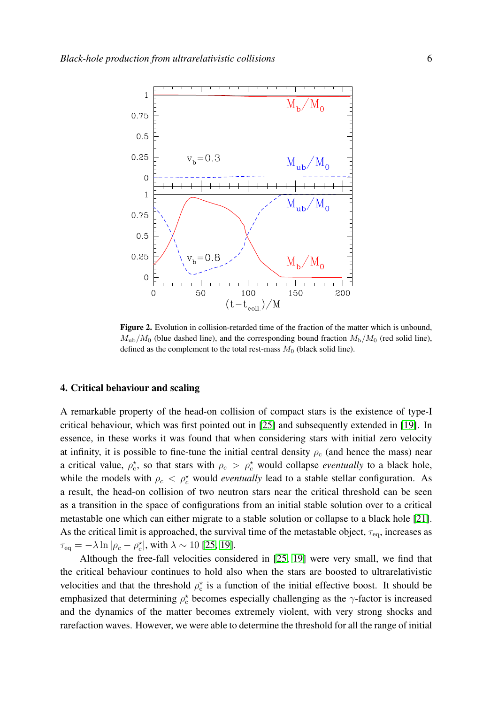

<span id="page-5-0"></span>Figure 2. Evolution in collision-retarded time of the fraction of the matter which is unbound,  $M_{\rm ub}/M_0$  (blue dashed line), and the corresponding bound fraction  $M_{\rm b}/M_0$  (red solid line), defined as the complement to the total rest-mass  $M_0$  (black solid line).

#### 4. Critical behaviour and scaling

A remarkable property of the head-on collision of compact stars is the existence of type-I critical behaviour, which was first pointed out in [\[25\]](#page-10-0) and subsequently extended in [\[19\]](#page-9-18). In essence, in these works it was found that when considering stars with initial zero velocity at infinity, it is possible to fine-tune the initial central density  $\rho_c$  (and hence the mass) near a critical value,  $\rho_c^*$ , so that stars with  $\rho_c > \rho_c^*$  would collapse *eventually* to a black hole, while the models with  $\rho_c < \rho_c^*$  would *eventually* lead to a stable stellar configuration. As a result, the head-on collision of two neutron stars near the critical threshold can be seen as a transition in the space of configurations from an initial stable solution over to a critical metastable one which can either migrate to a stable solution or collapse to a black hole [\[21\]](#page-9-20). As the critical limit is approached, the survival time of the metastable object,  $\tau_{eq}$ , increases as  $\tau_{\text{eq}} = -\lambda \ln |\rho_c - \rho_c^{\star}|$ , with  $\lambda \sim 10$  [\[25,](#page-10-0) [19\]](#page-9-18).

Although the free-fall velocities considered in [\[25,](#page-10-0) [19\]](#page-9-18) were very small, we find that the critical behaviour continues to hold also when the stars are boosted to ultrarelativistic velocities and that the threshold  $\rho_c^*$  is a function of the initial effective boost. It should be emphasized that determining  $\rho_c^*$  becomes especially challenging as the  $\gamma$ -factor is increased and the dynamics of the matter becomes extremely violent, with very strong shocks and rarefaction waves. However, we were able to determine the threshold for all the range of initial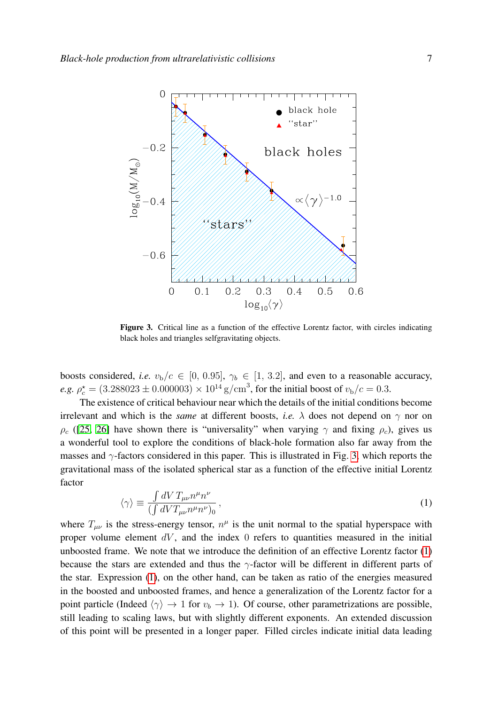

<span id="page-6-0"></span>Figure 3. Critical line as a function of the effective Lorentz factor, with circles indicating black holes and triangles selfgravitating objects.

boosts considered, *i.e.*  $v_b/c \in [0, 0.95]$ ,  $\gamma_b \in [1, 3.2]$ , and even to a reasonable accuracy, *e.g.*  $\rho_c^* = (3.288023 \pm 0.000003) \times 10^{14} \text{ g/cm}^3$ , for the initial boost of  $v_b/c = 0.3$ .

The existence of critical behaviour near which the details of the initial conditions become irrelevant and which is the *same* at different boosts, *i.e.*  $\lambda$  does not depend on  $\gamma$  nor on  $\rho_c$  ([\[25,](#page-10-0) [26\]](#page-10-1) have shown there is "universality" when varying  $\gamma$  and fixing  $\rho_c$ ), gives us a wonderful tool to explore the conditions of black-hole formation also far away from the masses and γ-factors considered in this paper. This is illustrated in Fig. [3,](#page-6-0) which reports the gravitational mass of the isolated spherical star as a function of the effective initial Lorentz factor

<span id="page-6-1"></span>
$$
\langle \gamma \rangle \equiv \frac{\int dV \, T_{\mu\nu} n^{\mu} n^{\nu}}{\left( \int dV T_{\mu\nu} n^{\mu} n^{\nu} \right)_0},\tag{1}
$$

where  $T_{\mu\nu}$  is the stress-energy tensor,  $n^{\mu}$  is the unit normal to the spatial hyperspace with proper volume element  $dV$ , and the index 0 refers to quantities measured in the initial unboosted frame. We note that we introduce the definition of an effective Lorentz factor [\(1\)](#page-6-1) because the stars are extended and thus the  $\gamma$ -factor will be different in different parts of the star. Expression [\(1\)](#page-6-1), on the other hand, can be taken as ratio of the energies measured in the boosted and unboosted frames, and hence a generalization of the Lorentz factor for a point particle (Indeed  $\langle \gamma \rangle \rightarrow 1$  for  $v_b \rightarrow 1$ ). Of course, other parametrizations are possible, still leading to scaling laws, but with slightly different exponents. An extended discussion of this point will be presented in a longer paper. Filled circles indicate initial data leading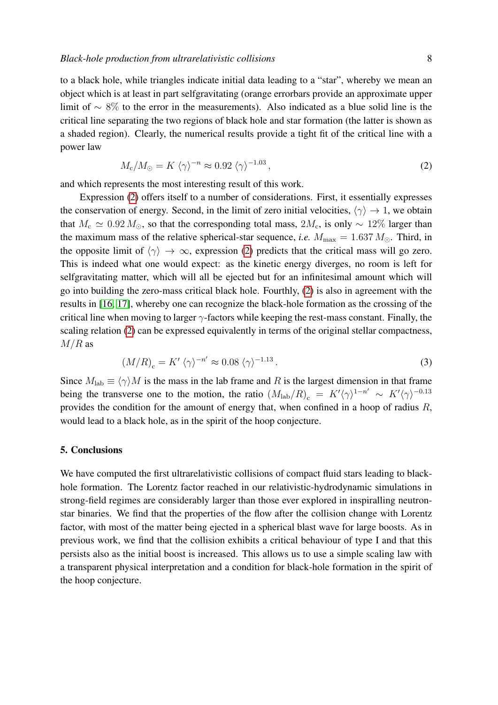to a black hole, while triangles indicate initial data leading to a "star", whereby we mean an object which is at least in part selfgravitating (orange errorbars provide an approximate upper limit of ∼ 8% to the error in the measurements). Also indicated as a blue solid line is the critical line separating the two regions of black hole and star formation (the latter is shown as a shaded region). Clearly, the numerical results provide a tight fit of the critical line with a power law

<span id="page-7-0"></span>
$$
M_{\rm c}/M_{\odot} = K \langle \gamma \rangle^{-n} \approx 0.92 \langle \gamma \rangle^{-1.03},\tag{2}
$$

and which represents the most interesting result of this work.

Expression [\(2\)](#page-7-0) offers itself to a number of considerations. First, it essentially expresses the conservation of energy. Second, in the limit of zero initial velocities,  $\langle \gamma \rangle \rightarrow 1$ , we obtain that  $M_c \simeq 0.92 M_{\odot}$ , so that the corresponding total mass,  $2M_c$ , is only ~ 12% larger than the maximum mass of the relative spherical-star sequence, *i.e.*  $M_{\text{max}} = 1.637 M_{\odot}$ . Third, in the opposite limit of  $\langle \gamma \rangle \to \infty$ , expression [\(2\)](#page-7-0) predicts that the critical mass will go zero. This is indeed what one would expect: as the kinetic energy diverges, no room is left for selfgravitating matter, which will all be ejected but for an infinitesimal amount which will go into building the zero-mass critical black hole. Fourthly, [\(2\)](#page-7-0) is also in agreement with the results in [\[16,](#page-9-15) [17\]](#page-9-17), whereby one can recognize the black-hole formation as the crossing of the critical line when moving to larger  $\gamma$ -factors while keeping the rest-mass constant. Finally, the scaling relation [\(2\)](#page-7-0) can be expressed equivalently in terms of the original stellar compactness,  $M/R$  as

$$
(M/R)_{\rm c} = K' \langle \gamma \rangle^{-n'} \approx 0.08 \langle \gamma \rangle^{-1.13} \,. \tag{3}
$$

Since  $M_{\text{lab}} \equiv \langle \gamma \rangle M$  is the mass in the lab frame and R is the largest dimension in that frame being the transverse one to the motion, the ratio  $(M_{\rm lab}/R)_{\rm c} = K' \langle \gamma \rangle^{1-n'} \sim K' \langle \gamma \rangle^{-0.13}$ provides the condition for the amount of energy that, when confined in a hoop of radius R, would lead to a black hole, as in the spirit of the hoop conjecture.

# 5. Conclusions

We have computed the first ultrarelativistic collisions of compact fluid stars leading to blackhole formation. The Lorentz factor reached in our relativistic-hydrodynamic simulations in strong-field regimes are considerably larger than those ever explored in inspiralling neutronstar binaries. We find that the properties of the flow after the collision change with Lorentz factor, with most of the matter being ejected in a spherical blast wave for large boosts. As in previous work, we find that the collision exhibits a critical behaviour of type I and that this persists also as the initial boost is increased. This allows us to use a simple scaling law with a transparent physical interpretation and a condition for black-hole formation in the spirit of the hoop conjecture.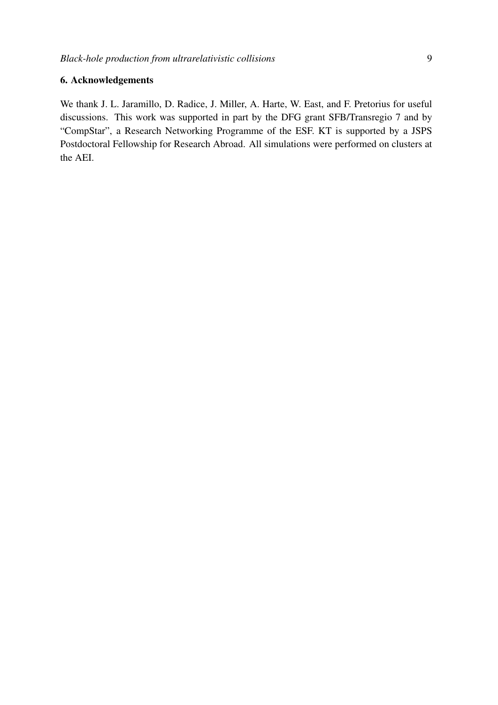# 6. Acknowledgements

We thank J. L. Jaramillo, D. Radice, J. Miller, A. Harte, W. East, and F. Pretorius for useful discussions. This work was supported in part by the DFG grant SFB/Transregio 7 and by "CompStar", a Research Networking Programme of the ESF. KT is supported by a JSPS Postdoctoral Fellowship for Research Abroad. All simulations were performed on clusters at the AEI.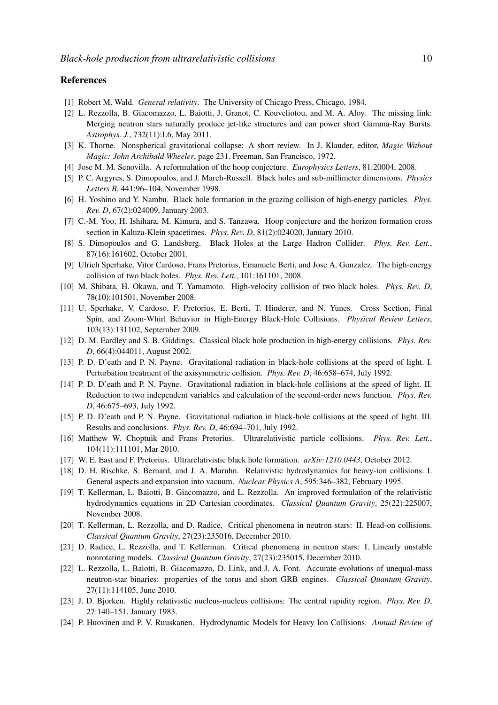# References

- <span id="page-9-0"></span>[1] Robert M. Wald. *General relativity*. The University of Chicago Press, Chicago, 1984.
- <span id="page-9-1"></span>[2] L. Rezzolla, B. Giacomazzo, L. Baiotti, J. Granot, C. Kouveliotou, and M. A. Aloy. The missing link: Merging neutron stars naturally produce jet-like structures and can power short Gamma-Ray Bursts. *Astrophys. J.*, 732(11):L6, May 2011.
- <span id="page-9-2"></span>[3] K. Thorne. Nonspherical gravitational collapse: A short review. In J. Klauder, editor, *Magic Without Magic: John Archibald Wheeler*, page 231. Freeman, San Francisco, 1972.
- <span id="page-9-3"></span>[4] Jose M. M. Senovilla. A reformulation of the hoop conjecture. *Europhysics Letters*, 81:20004, 2008.
- <span id="page-9-4"></span>[5] P. C. Argyres, S. Dimopoulos, and J. March-Russell. Black holes and sub-millimeter dimensions. *Physics Letters B*, 441:96–104, November 1998.
- <span id="page-9-5"></span>[6] H. Yoshino and Y. Nambu. Black hole formation in the grazing collision of high-energy particles. *Phys. Rev. D*, 67(2):024009, January 2003.
- <span id="page-9-6"></span>[7] C.-M. Yoo, H. Ishihara, M. Kimura, and S. Tanzawa. Hoop conjecture and the horizon formation cross section in Kaluza-Klein spacetimes. *Phys. Rev. D*, 81(2):024020, January 2010.
- <span id="page-9-7"></span>[8] S. Dimopoulos and G. Landsberg. Black Holes at the Large Hadron Collider. *Phys. Rev. Lett.*, 87(16):161602, October 2001.
- <span id="page-9-8"></span>[9] Ulrich Sperhake, Vitor Cardoso, Frans Pretorius, Emanuele Berti, and Jose A. Gonzalez. The high-energy collision of two black holes. *Phys. Rev. Lett.*, 101:161101, 2008.
- <span id="page-9-9"></span>[10] M. Shibata, H. Okawa, and T. Yamamoto. High-velocity collision of two black holes. *Phys. Rev. D*, 78(10):101501, November 2008.
- <span id="page-9-10"></span>[11] U. Sperhake, V. Cardoso, F. Pretorius, E. Berti, T. Hinderer, and N. Yunes. Cross Section, Final Spin, and Zoom-Whirl Behavior in High-Energy Black-Hole Collisions. *Physical Review Letters*, 103(13):131102, September 2009.
- <span id="page-9-11"></span>[12] D. M. Eardley and S. B. Giddings. Classical black hole production in high-energy collisions. *Phys. Rev. D*, 66(4):044011, August 2002.
- <span id="page-9-12"></span>[13] P. D. D'eath and P. N. Payne. Gravitational radiation in black-hole collisions at the speed of light. I. Perturbation treatment of the axisymmetric collision. *Phys. Rev. D*, 46:658–674, July 1992.
- <span id="page-9-13"></span>[14] P. D. D'eath and P. N. Payne. Gravitational radiation in black-hole collisions at the speed of light. II. Reduction to two independent variables and calculation of the second-order news function. *Phys. Rev. D*, 46:675–693, July 1992.
- <span id="page-9-14"></span>[15] P. D. D'eath and P. N. Payne. Gravitational radiation in black-hole collisions at the speed of light. III. Results and conclusions. *Phys. Rev. D*, 46:694–701, July 1992.
- <span id="page-9-15"></span>[16] Matthew W. Choptuik and Frans Pretorius. Ultrarelativistic particle collisions. *Phys. Rev. Lett.*, 104(11):111101, Mar 2010.
- <span id="page-9-17"></span>[17] W. E. East and F. Pretorius. Ultrarelativistic black hole formation. *arXiv:1210.0443*, October 2012.
- <span id="page-9-16"></span>[18] D. H. Rischke, S. Bernard, and J. A. Maruhn. Relativistic hydrodynamics for heavy-ion collisions. I. General aspects and expansion into vacuum. *Nuclear Physics A*, 595:346–382, February 1995.
- <span id="page-9-18"></span>[19] T. Kellerman, L. Baiotti, B. Giacomazzo, and L. Rezzolla. An improved formulation of the relativistic hydrodynamics equations in 2D Cartesian coordinates. *Classical Quantum Gravity*, 25(22):225007, November 2008.
- <span id="page-9-19"></span>[20] T. Kellerman, L. Rezzolla, and D. Radice. Critical phenomena in neutron stars: II. Head-on collisions. *Classical Quantum Gravity*, 27(23):235016, December 2010.
- <span id="page-9-20"></span>[21] D. Radice, L. Rezzolla, and T. Kellerman. Critical phenomena in neutron stars: I. Linearly unstable nonrotating models. *Classical Quantum Gravity*, 27(23):235015, December 2010.
- <span id="page-9-21"></span>[22] L. Rezzolla, L. Baiotti, B. Giacomazzo, D. Link, and J. A. Font. Accurate evolutions of unequal-mass neutron-star binaries: properties of the torus and short GRB engines. *Classical Quantum Gravity*, 27(11):114105, June 2010.
- <span id="page-9-22"></span>[23] J. D. Bjorken. Highly relativistic nucleus-nucleus collisions: The central rapidity region. *Phys. Rev. D*, 27:140–151, January 1983.
- <span id="page-9-23"></span>[24] P. Huovinen and P. V. Ruuskanen. Hydrodynamic Models for Heavy Ion Collisions. *Annual Review of*